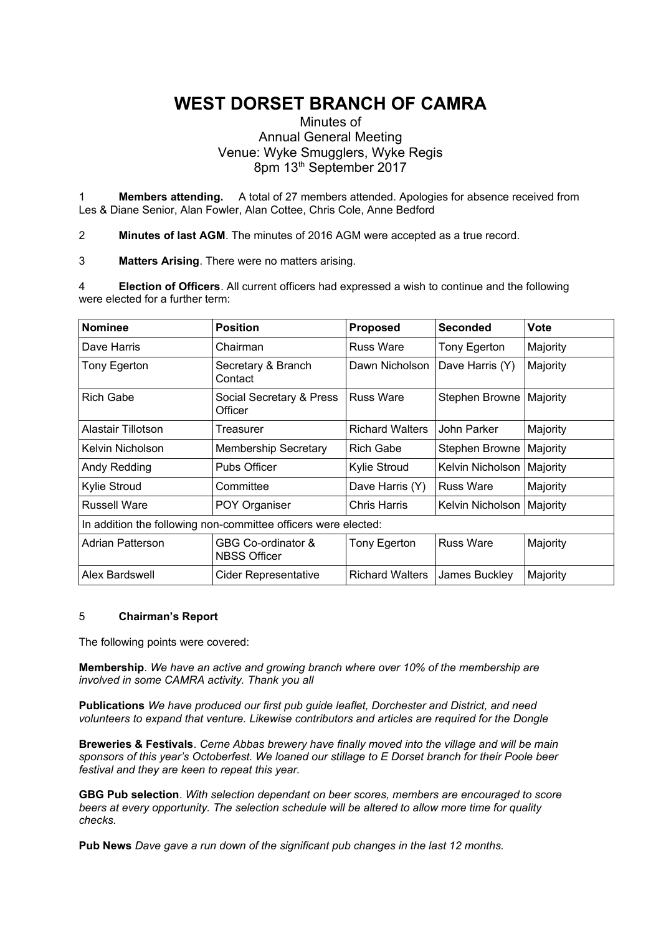# **WEST DORSET BRANCH OF CAMRA**

## Minutes of Annual General Meeting Venue: Wyke Smugglers, Wyke Regis 8pm 13<sup>th</sup> September 2017

1 **Members attending.** A total of 27 members attended. Apologies for absence received from Les & Diane Senior, Alan Fowler, Alan Cottee, Chris Cole, Anne Bedford

2 **Minutes of last AGM**. The minutes of 2016 AGM were accepted as a true record.

3 **Matters Arising**. There were no matters arising.

4 **Election of Officers**. All current officers had expressed a wish to continue and the following were elected for a further term:

| <b>Nominee</b>                                                 | <b>Position</b>                           | <b>Proposed</b>        | <b>Seconded</b>  | Vote     |
|----------------------------------------------------------------|-------------------------------------------|------------------------|------------------|----------|
| Dave Harris                                                    | Chairman                                  | <b>Russ Ware</b>       | Tony Egerton     | Majority |
| Tony Egerton                                                   | Secretary & Branch<br>Contact             | Dawn Nicholson         | Dave Harris (Y)  | Majority |
| <b>Rich Gabe</b>                                               | Social Secretary & Press<br>Officer       | <b>Russ Ware</b>       | Stephen Browne   | Majority |
| Alastair Tillotson                                             | Treasurer                                 | <b>Richard Walters</b> | John Parker      | Majority |
| Kelvin Nicholson                                               | <b>Membership Secretary</b>               | <b>Rich Gabe</b>       | Stephen Browne   | Majority |
| Andy Redding                                                   | Pubs Officer                              | Kylie Stroud           | Kelvin Nicholson | Majority |
| Kylie Stroud                                                   | Committee                                 | Dave Harris (Y)        | <b>Russ Ware</b> | Majority |
| <b>Russell Ware</b>                                            | POY Organiser                             | <b>Chris Harris</b>    | Kelvin Nicholson | Majority |
| In addition the following non-committee officers were elected: |                                           |                        |                  |          |
| <b>Adrian Patterson</b>                                        | GBG Co-ordinator &<br><b>NBSS Officer</b> | Tony Egerton           | <b>Russ Ware</b> | Majority |
| Alex Bardswell                                                 | Cider Representative                      | <b>Richard Walters</b> | James Buckley    | Majority |

## 5 **Chairman's Report**

The following points were covered:

**Membership**. *We have an active and growing branch where over 10% of the membership are involved in some CAMRA activity. Thank you all*

**Publications** *We have produced our first pub guide leaflet, Dorchester and District, and need volunteers to expand that venture. Likewise contributors and articles are required for the Dongle*

**Breweries & Festivals**. *Cerne Abbas brewery have finally moved into the village and will be main sponsors of this year's Octoberfest. We loaned our stillage to E Dorset branch for their Poole beer festival and they are keen to repeat this year.*

**GBG Pub selection**. *With selection dependant on beer scores, members are encouraged to score beers at every opportunity. The selection schedule will be altered to allow more time for quality checks.*

**Pub News** *Dave gave a run down of the significant pub changes in the last 12 months.*